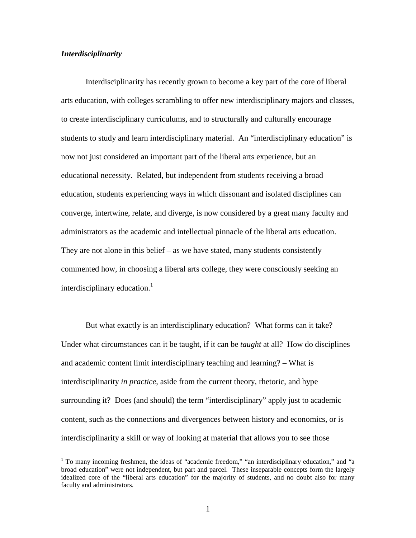# *Interdisciplinarity*

 Interdisciplinarity has recently grown to become a key part of the core of liberal arts education, with colleges scrambling to offer new interdisciplinary majors and classes, to create interdisciplinary curriculums, and to structurally and culturally encourage students to study and learn interdisciplinary material. An "interdisciplinary education" is now not just considered an important part of the liberal arts experience, but an educational necessity. Related, but independent from students receiving a broad education, students experiencing ways in which dissonant and isolated disciplines can converge, intertwine, relate, and diverge, is now considered by a great many faculty and administrators as the academic and intellectual pinnacle of the liberal arts education. They are not alone in this belief – as we have stated, many students consistently commented how, in choosing a liberal arts college, they were consciously seeking an interdisciplinary education. $\frac{1}{1}$ 

 But what exactly is an interdisciplinary education? What forms can it take? Under what circumstances can it be taught, if it can be *taught* at all? How do disciplines and academic content limit interdisciplinary teaching and learning? – What is interdisciplinarity *in practice*, aside from the current theory, rhetoric, and hype surrounding it? Does (and should) the term "interdisciplinary" apply just to academic content, such as the connections and divergences between history and economics, or is interdisciplinarity a skill or way of looking at material that allows you to see those

To many incoming freshmen, the ideas of "academic freedom," "an interdisciplinary education," and "a broad education" were not independent, but part and parcel. These inseparable concepts form the largely idealized core of the "liberal arts education" for the majority of students, and no doubt also for many faculty and administrators.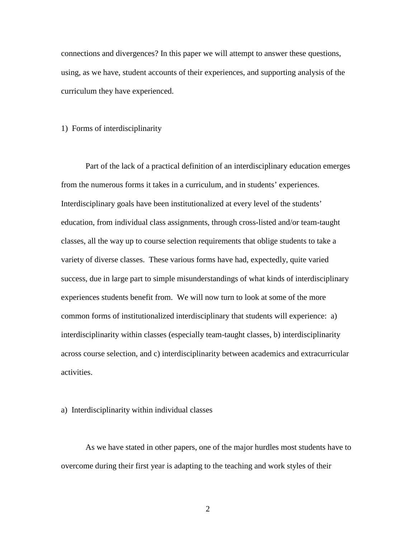connections and divergences? In this paper we will attempt to answer these questions, using, as we have, student accounts of their experiences, and supporting analysis of the curriculum they have experienced.

## 1) Forms of interdisciplinarity

 Part of the lack of a practical definition of an interdisciplinary education emerges from the numerous forms it takes in a curriculum, and in students' experiences. Interdisciplinary goals have been institutionalized at every level of the students' education, from individual class assignments, through cross-listed and/or team-taught classes, all the way up to course selection requirements that oblige students to take a variety of diverse classes. These various forms have had, expectedly, quite varied success, due in large part to simple misunderstandings of what kinds of interdisciplinary experiences students benefit from. We will now turn to look at some of the more common forms of institutionalized interdisciplinary that students will experience: a) interdisciplinarity within classes (especially team-taught classes, b) interdisciplinarity across course selection, and c) interdisciplinarity between academics and extracurricular activities.

## a) Interdisciplinarity within individual classes

As we have stated in other papers, one of the major hurdles most students have to overcome during their first year is adapting to the teaching and work styles of their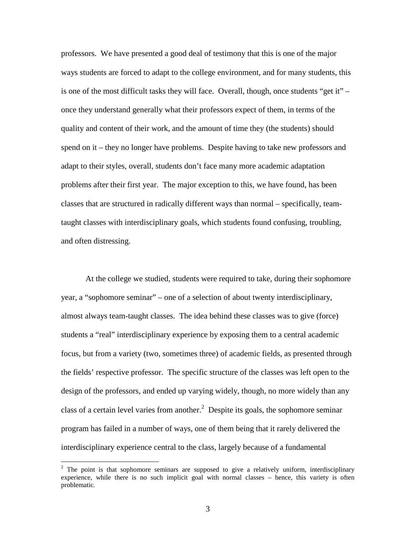professors. We have presented a good deal of testimony that this is one of the major ways students are forced to adapt to the college environment, and for many students, this is one of the most difficult tasks they will face. Overall, though, once students "get it" – once they understand generally what their professors expect of them, in terms of the quality and content of their work, and the amount of time they (the students) should spend on it – they no longer have problems. Despite having to take new professors and adapt to their styles, overall, students don't face many more academic adaptation problems after their first year. The major exception to this, we have found, has been classes that are structured in radically different ways than normal – specifically, teamtaught classes with interdisciplinary goals, which students found confusing, troubling, and often distressing.

At the college we studied, students were required to take, during their sophomore year, a "sophomore seminar" – one of a selection of about twenty interdisciplinary, almost always team-taught classes. The idea behind these classes was to give (force) students a "real" interdisciplinary experience by exposing them to a central academic focus, but from a variety (two, sometimes three) of academic fields, as presented through the fields' respective professor. The specific structure of the classes was left open to the design of the professors, and ended up varying widely, though, no more widely than any class of a certain level varies from another.<sup>2</sup> Despite its goals, the sophomore seminar program has failed in a number of ways, one of them being that it rarely delivered the interdisciplinary experience central to the class, largely because of a fundamental

 $\overline{a}$ 

 $2$  The point is that sophomore seminars are supposed to give a relatively uniform, interdisciplinary experience, while there is no such implicit goal with normal classes – hence, this variety is often problematic.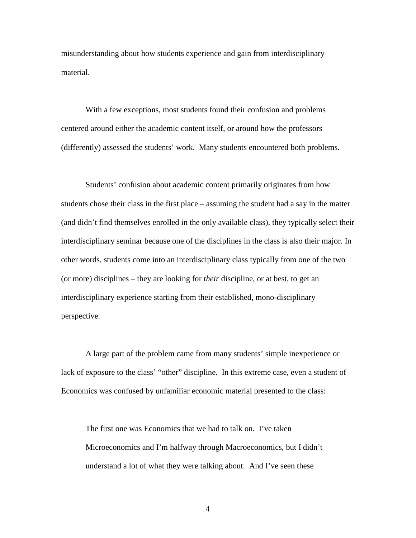misunderstanding about how students experience and gain from interdisciplinary material.

With a few exceptions, most students found their confusion and problems centered around either the academic content itself, or around how the professors (differently) assessed the students' work. Many students encountered both problems.

Students' confusion about academic content primarily originates from how students chose their class in the first place – assuming the student had a say in the matter (and didn't find themselves enrolled in the only available class), they typically select their interdisciplinary seminar because one of the disciplines in the class is also their major. In other words, students come into an interdisciplinary class typically from one of the two (or more) disciplines – they are looking for *their* discipline, or at best, to get an interdisciplinary experience starting from their established, mono-disciplinary perspective.

A large part of the problem came from many students' simple inexperience or lack of exposure to the class' "other" discipline. In this extreme case, even a student of Economics was confused by unfamiliar economic material presented to the class:

The first one was Economics that we had to talk on. I've taken Microeconomics and I'm halfway through Macroeconomics, but I didn't understand a lot of what they were talking about. And I've seen these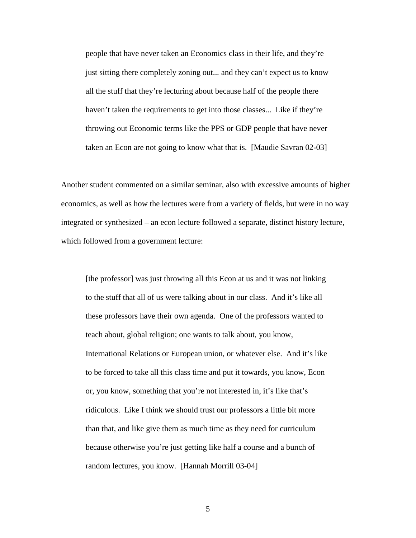people that have never taken an Economics class in their life, and they're just sitting there completely zoning out... and they can't expect us to know all the stuff that they're lecturing about because half of the people there haven't taken the requirements to get into those classes... Like if they're throwing out Economic terms like the PPS or GDP people that have never taken an Econ are not going to know what that is. [Maudie Savran 02-03]

Another student commented on a similar seminar, also with excessive amounts of higher economics, as well as how the lectures were from a variety of fields, but were in no way integrated or synthesized – an econ lecture followed a separate, distinct history lecture, which followed from a government lecture:

[the professor] was just throwing all this Econ at us and it was not linking to the stuff that all of us were talking about in our class. And it's like all these professors have their own agenda. One of the professors wanted to teach about, global religion; one wants to talk about, you know, International Relations or European union, or whatever else. And it's like to be forced to take all this class time and put it towards, you know, Econ or, you know, something that you're not interested in, it's like that's ridiculous. Like I think we should trust our professors a little bit more than that, and like give them as much time as they need for curriculum because otherwise you're just getting like half a course and a bunch of random lectures, you know. [Hannah Morrill 03-04]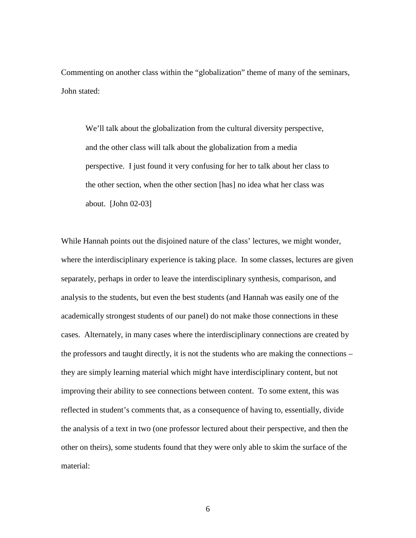Commenting on another class within the "globalization" theme of many of the seminars, John stated:

We'll talk about the globalization from the cultural diversity perspective, and the other class will talk about the globalization from a media perspective. I just found it very confusing for her to talk about her class to the other section, when the other section [has] no idea what her class was about. [John 02-03]

While Hannah points out the disjoined nature of the class' lectures, we might wonder, where the interdisciplinary experience is taking place. In some classes, lectures are given separately, perhaps in order to leave the interdisciplinary synthesis, comparison, and analysis to the students, but even the best students (and Hannah was easily one of the academically strongest students of our panel) do not make those connections in these cases. Alternately, in many cases where the interdisciplinary connections are created by the professors and taught directly, it is not the students who are making the connections – they are simply learning material which might have interdisciplinary content, but not improving their ability to see connections between content. To some extent, this was reflected in student's comments that, as a consequence of having to, essentially, divide the analysis of a text in two (one professor lectured about their perspective, and then the other on theirs), some students found that they were only able to skim the surface of the material: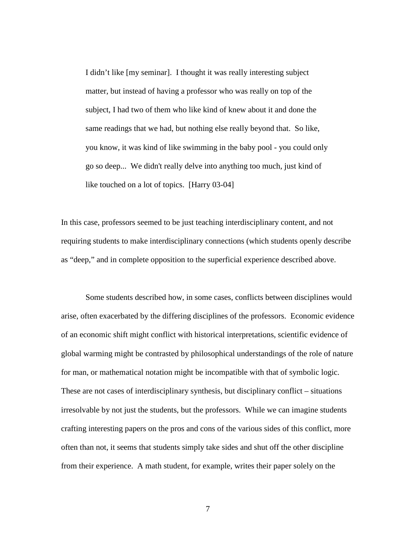I didn't like [my seminar]. I thought it was really interesting subject matter, but instead of having a professor who was really on top of the subject, I had two of them who like kind of knew about it and done the same readings that we had, but nothing else really beyond that. So like, you know, it was kind of like swimming in the baby pool - you could only go so deep... We didn't really delve into anything too much, just kind of like touched on a lot of topics. [Harry 03-04]

In this case, professors seemed to be just teaching interdisciplinary content, and not requiring students to make interdisciplinary connections (which students openly describe as "deep," and in complete opposition to the superficial experience described above.

Some students described how, in some cases, conflicts between disciplines would arise, often exacerbated by the differing disciplines of the professors. Economic evidence of an economic shift might conflict with historical interpretations, scientific evidence of global warming might be contrasted by philosophical understandings of the role of nature for man, or mathematical notation might be incompatible with that of symbolic logic. These are not cases of interdisciplinary synthesis, but disciplinary conflict – situations irresolvable by not just the students, but the professors. While we can imagine students crafting interesting papers on the pros and cons of the various sides of this conflict, more often than not, it seems that students simply take sides and shut off the other discipline from their experience. A math student, for example, writes their paper solely on the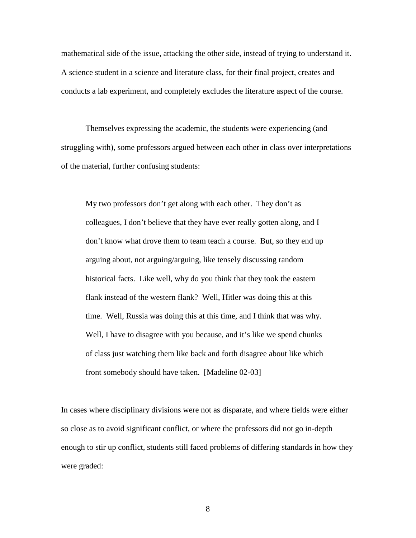mathematical side of the issue, attacking the other side, instead of trying to understand it. A science student in a science and literature class, for their final project, creates and conducts a lab experiment, and completely excludes the literature aspect of the course.

Themselves expressing the academic, the students were experiencing (and struggling with), some professors argued between each other in class over interpretations of the material, further confusing students:

My two professors don't get along with each other. They don't as colleagues, I don't believe that they have ever really gotten along, and I don't know what drove them to team teach a course. But, so they end up arguing about, not arguing/arguing, like tensely discussing random historical facts. Like well, why do you think that they took the eastern flank instead of the western flank? Well, Hitler was doing this at this time. Well, Russia was doing this at this time, and I think that was why. Well, I have to disagree with you because, and it's like we spend chunks of class just watching them like back and forth disagree about like which front somebody should have taken. [Madeline 02-03]

In cases where disciplinary divisions were not as disparate, and where fields were either so close as to avoid significant conflict, or where the professors did not go in-depth enough to stir up conflict, students still faced problems of differing standards in how they were graded: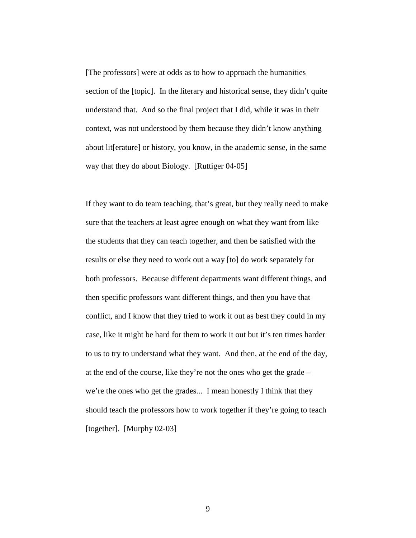[The professors] were at odds as to how to approach the humanities section of the [topic]. In the literary and historical sense, they didn't quite understand that. And so the final project that I did, while it was in their context, was not understood by them because they didn't know anything about lit[erature] or history, you know, in the academic sense, in the same way that they do about Biology. [Ruttiger 04-05]

If they want to do team teaching, that's great, but they really need to make sure that the teachers at least agree enough on what they want from like the students that they can teach together, and then be satisfied with the results or else they need to work out a way [to] do work separately for both professors. Because different departments want different things, and then specific professors want different things, and then you have that conflict, and I know that they tried to work it out as best they could in my case, like it might be hard for them to work it out but it's ten times harder to us to try to understand what they want. And then, at the end of the day, at the end of the course, like they're not the ones who get the grade – we're the ones who get the grades... I mean honestly I think that they should teach the professors how to work together if they're going to teach [together]. [Murphy 02-03]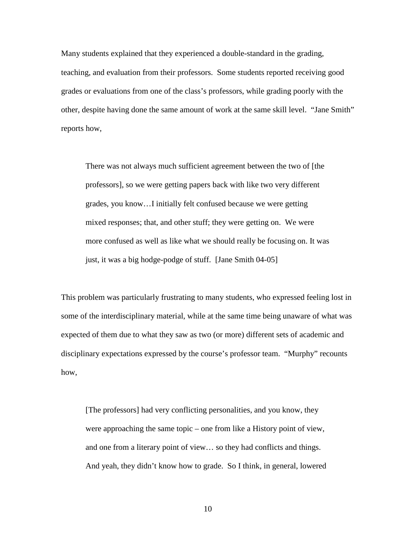Many students explained that they experienced a double-standard in the grading, teaching, and evaluation from their professors. Some students reported receiving good grades or evaluations from one of the class's professors, while grading poorly with the other, despite having done the same amount of work at the same skill level. "Jane Smith" reports how,

There was not always much sufficient agreement between the two of [the professors], so we were getting papers back with like two very different grades, you know…I initially felt confused because we were getting mixed responses; that, and other stuff; they were getting on. We were more confused as well as like what we should really be focusing on. It was just, it was a big hodge-podge of stuff. [Jane Smith 04-05]

This problem was particularly frustrating to many students, who expressed feeling lost in some of the interdisciplinary material, while at the same time being unaware of what was expected of them due to what they saw as two (or more) different sets of academic and disciplinary expectations expressed by the course's professor team. "Murphy" recounts how,

[The professors] had very conflicting personalities, and you know, they were approaching the same topic – one from like a History point of view, and one from a literary point of view… so they had conflicts and things. And yeah, they didn't know how to grade. So I think, in general, lowered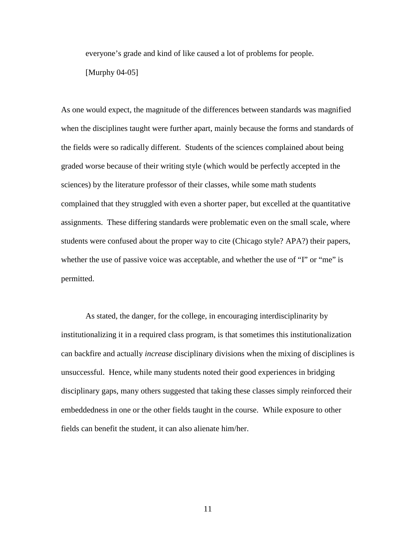everyone's grade and kind of like caused a lot of problems for people.

[Murphy 04-05]

As one would expect, the magnitude of the differences between standards was magnified when the disciplines taught were further apart, mainly because the forms and standards of the fields were so radically different. Students of the sciences complained about being graded worse because of their writing style (which would be perfectly accepted in the sciences) by the literature professor of their classes, while some math students complained that they struggled with even a shorter paper, but excelled at the quantitative assignments. These differing standards were problematic even on the small scale, where students were confused about the proper way to cite (Chicago style? APA?) their papers, whether the use of passive voice was acceptable, and whether the use of "I" or "me" is permitted.

 As stated, the danger, for the college, in encouraging interdisciplinarity by institutionalizing it in a required class program, is that sometimes this institutionalization can backfire and actually *increase* disciplinary divisions when the mixing of disciplines is unsuccessful. Hence, while many students noted their good experiences in bridging disciplinary gaps, many others suggested that taking these classes simply reinforced their embeddedness in one or the other fields taught in the course. While exposure to other fields can benefit the student, it can also alienate him/her.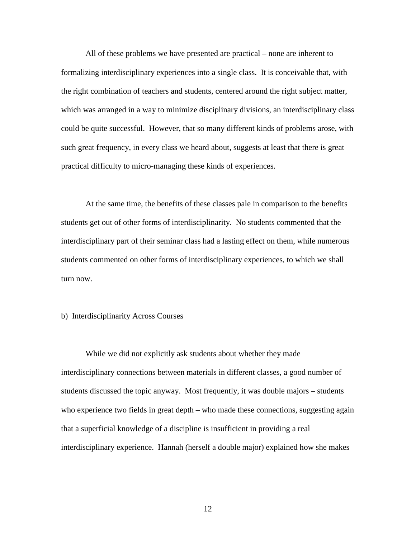All of these problems we have presented are practical – none are inherent to formalizing interdisciplinary experiences into a single class. It is conceivable that, with the right combination of teachers and students, centered around the right subject matter, which was arranged in a way to minimize disciplinary divisions, an interdisciplinary class could be quite successful. However, that so many different kinds of problems arose, with such great frequency, in every class we heard about, suggests at least that there is great practical difficulty to micro-managing these kinds of experiences.

 At the same time, the benefits of these classes pale in comparison to the benefits students get out of other forms of interdisciplinarity. No students commented that the interdisciplinary part of their seminar class had a lasting effect on them, while numerous students commented on other forms of interdisciplinary experiences, to which we shall turn now.

## b) Interdisciplinarity Across Courses

 While we did not explicitly ask students about whether they made interdisciplinary connections between materials in different classes, a good number of students discussed the topic anyway. Most frequently, it was double majors – students who experience two fields in great depth – who made these connections, suggesting again that a superficial knowledge of a discipline is insufficient in providing a real interdisciplinary experience. Hannah (herself a double major) explained how she makes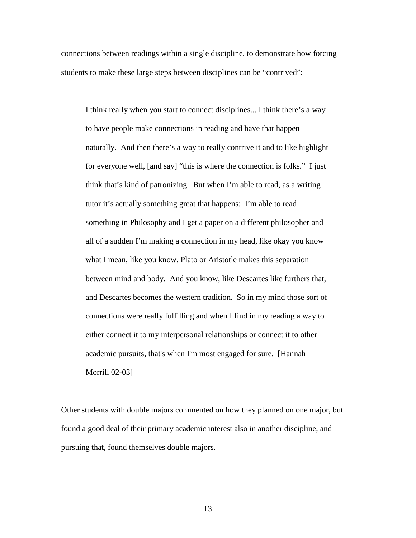connections between readings within a single discipline, to demonstrate how forcing students to make these large steps between disciplines can be "contrived":

I think really when you start to connect disciplines... I think there's a way to have people make connections in reading and have that happen naturally. And then there's a way to really contrive it and to like highlight for everyone well, [and say] "this is where the connection is folks." I just think that's kind of patronizing. But when I'm able to read, as a writing tutor it's actually something great that happens: I'm able to read something in Philosophy and I get a paper on a different philosopher and all of a sudden I'm making a connection in my head, like okay you know what I mean, like you know, Plato or Aristotle makes this separation between mind and body. And you know, like Descartes like furthers that, and Descartes becomes the western tradition. So in my mind those sort of connections were really fulfilling and when I find in my reading a way to either connect it to my interpersonal relationships or connect it to other academic pursuits, that's when I'm most engaged for sure. [Hannah Morrill 02-03]

Other students with double majors commented on how they planned on one major, but found a good deal of their primary academic interest also in another discipline, and pursuing that, found themselves double majors.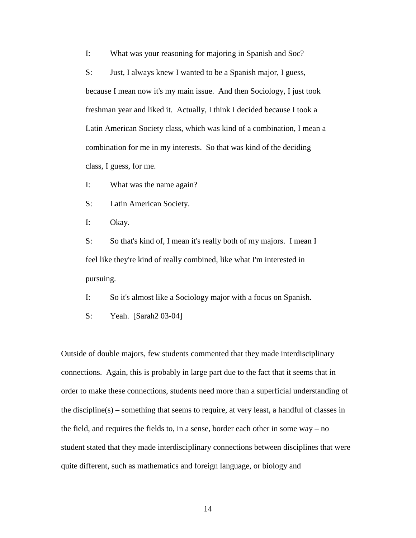I: What was your reasoning for majoring in Spanish and Soc?

S: Just, I always knew I wanted to be a Spanish major, I guess, because I mean now it's my main issue. And then Sociology, I just took freshman year and liked it. Actually, I think I decided because I took a Latin American Society class, which was kind of a combination, I mean a combination for me in my interests. So that was kind of the deciding class, I guess, for me.

I: What was the name again?

S: Latin American Society.

I: Okay.

S: So that's kind of, I mean it's really both of my majors. I mean I feel like they're kind of really combined, like what I'm interested in pursuing.

I: So it's almost like a Sociology major with a focus on Spanish.

S: Yeah. [Sarah2 03-04]

Outside of double majors, few students commented that they made interdisciplinary connections. Again, this is probably in large part due to the fact that it seems that in order to make these connections, students need more than a superficial understanding of the discipline(s) – something that seems to require, at very least, a handful of classes in the field, and requires the fields to, in a sense, border each other in some way – no student stated that they made interdisciplinary connections between disciplines that were quite different, such as mathematics and foreign language, or biology and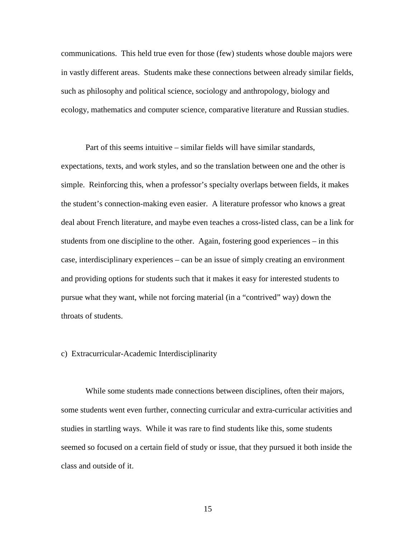communications. This held true even for those (few) students whose double majors were in vastly different areas. Students make these connections between already similar fields, such as philosophy and political science, sociology and anthropology, biology and ecology, mathematics and computer science, comparative literature and Russian studies.

Part of this seems intuitive – similar fields will have similar standards, expectations, texts, and work styles, and so the translation between one and the other is simple. Reinforcing this, when a professor's specialty overlaps between fields, it makes the student's connection-making even easier. A literature professor who knows a great deal about French literature, and maybe even teaches a cross-listed class, can be a link for students from one discipline to the other. Again, fostering good experiences – in this case, interdisciplinary experiences – can be an issue of simply creating an environment and providing options for students such that it makes it easy for interested students to pursue what they want, while not forcing material (in a "contrived" way) down the throats of students.

#### c) Extracurricular-Academic Interdisciplinarity

 While some students made connections between disciplines, often their majors, some students went even further, connecting curricular and extra-curricular activities and studies in startling ways. While it was rare to find students like this, some students seemed so focused on a certain field of study or issue, that they pursued it both inside the class and outside of it.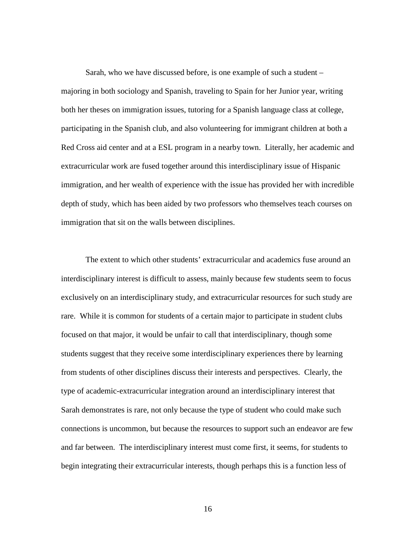Sarah, who we have discussed before, is one example of such a student – majoring in both sociology and Spanish, traveling to Spain for her Junior year, writing both her theses on immigration issues, tutoring for a Spanish language class at college, participating in the Spanish club, and also volunteering for immigrant children at both a Red Cross aid center and at a ESL program in a nearby town. Literally, her academic and extracurricular work are fused together around this interdisciplinary issue of Hispanic immigration, and her wealth of experience with the issue has provided her with incredible depth of study, which has been aided by two professors who themselves teach courses on immigration that sit on the walls between disciplines.

 The extent to which other students' extracurricular and academics fuse around an interdisciplinary interest is difficult to assess, mainly because few students seem to focus exclusively on an interdisciplinary study, and extracurricular resources for such study are rare. While it is common for students of a certain major to participate in student clubs focused on that major, it would be unfair to call that interdisciplinary, though some students suggest that they receive some interdisciplinary experiences there by learning from students of other disciplines discuss their interests and perspectives. Clearly, the type of academic-extracurricular integration around an interdisciplinary interest that Sarah demonstrates is rare, not only because the type of student who could make such connections is uncommon, but because the resources to support such an endeavor are few and far between. The interdisciplinary interest must come first, it seems, for students to begin integrating their extracurricular interests, though perhaps this is a function less of